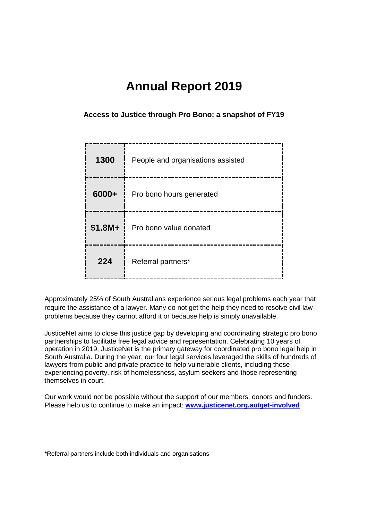# **Annual Report 2019**

**Access to Justice through Pro Bono: a snapshot of FY19**

| 1300     | People and organisations assisted |
|----------|-----------------------------------|
| 6000+    | Pro bono hours generated          |
| $$1.8M+$ | Pro bono value donated            |
| 224      | Referral partners*                |

Approximately 25% of South Australians experience serious legal problems each year that require the assistance of a lawyer. Many do not get the help they need to resolve civil law problems because they cannot afford it or because help is simply unavailable.

JusticeNet aims to close this justice gap by developing and coordinating strategic pro bono partnerships to facilitate free legal advice and representation. Celebrating 10 years of operation in 2019, JusticeNet is the primary gateway for coordinated pro bono legal help in South Australia. During the year, our four legal services leveraged the skills of hundreds of lawyers from public and private practice to help vulnerable clients, including those experiencing poverty, risk of homelessness, asylum seekers and those representing themselves in court.

Our work would not be possible without the support of our members, donors and funders. Please help us to continue to make an impact: **[www.justicenet.org.au/get-involved](http://www.justicenet.org.au/get-involved)**

\*Referral partners include both individuals and organisations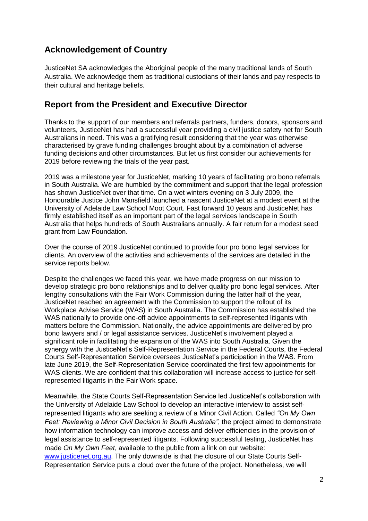## **Acknowledgement of Country**

JusticeNet SA acknowledges the Aboriginal people of the many traditional lands of South Australia. We acknowledge them as traditional custodians of their lands and pay respects to their cultural and heritage beliefs.

## **Report from the President and Executive Director**

Thanks to the support of our members and referrals partners, funders, donors, sponsors and volunteers, JusticeNet has had a successful year providing a civil justice safety net for South Australians in need. This was a gratifying result considering that the year was otherwise characterised by grave funding challenges brought about by a combination of adverse funding decisions and other circumstances. But let us first consider our achievements for 2019 before reviewing the trials of the year past.

2019 was a milestone year for JusticeNet, marking 10 years of facilitating pro bono referrals in South Australia. We are humbled by the commitment and support that the legal profession has shown JusticeNet over that time. On a wet winters evening on 3 July 2009, the Honourable Justice John Mansfield launched a nascent JusticeNet at a modest event at the University of Adelaide Law School Moot Court. Fast forward 10 years and JusticeNet has firmly established itself as an important part of the legal services landscape in South Australia that helps hundreds of South Australians annually. A fair return for a modest seed grant from Law Foundation.

Over the course of 2019 JusticeNet continued to provide four pro bono legal services for clients. An overview of the activities and achievements of the services are detailed in the service reports below.

Despite the challenges we faced this year, we have made progress on our mission to develop strategic pro bono relationships and to deliver quality pro bono legal services. After lengthy consultations with the Fair Work Commission during the latter half of the year, JusticeNet reached an agreement with the Commission to support the rollout of its Workplace Advise Service (WAS) in South Australia. The Commission has established the WAS nationally to provide one-off advice appointments to self-represented litigants with matters before the Commission. Nationally, the advice appointments are delivered by pro bono lawyers and / or legal assistance services. JusticeNet's involvement played a significant role in facilitating the expansion of the WAS into South Australia. Given the synergy with the JusticeNet's Self-Representation Service in the Federal Courts, the Federal Courts Self-Representation Service oversees JusticeNet's participation in the WAS. From late June 2019, the Self-Representation Service coordinated the first few appointments for WAS clients. We are confident that this collaboration will increase access to justice for selfrepresented litigants in the Fair Work space.

Meanwhile, the State Courts Self-Representation Service led JusticeNet's collaboration with the University of Adelaide Law School to develop an interactive interview to assist selfrepresented litigants who are seeking a review of a Minor Civil Action. Called *"On My Own Feet: Reviewing a Minor Civil Decision in South Australia"*, the project aimed to demonstrate how information technology can improve access and deliver efficiencies in the provision of legal assistance to self-represented litigants. Following successful testing, JusticeNet has made *On My Own Feet*, available to the public from a link on our website: [www.justicenet.org.au.](http://www.justicenet.org.au/) The only downside is that the closure of our State Courts Self-Representation Service puts a cloud over the future of the project. Nonetheless, we will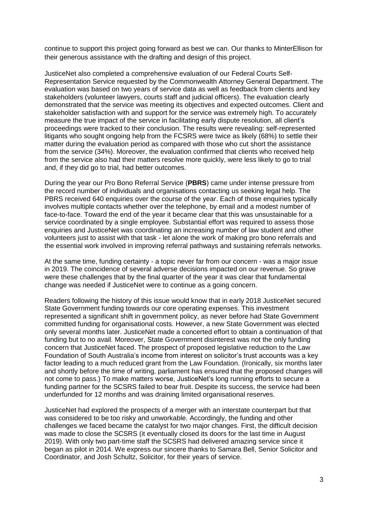continue to support this project going forward as best we can. Our thanks to MinterEllison for their generous assistance with the drafting and design of this project.

JusticeNet also completed a comprehensive evaluation of our Federal Courts Self-Representation Service requested by the Commonwealth Attorney General Department. The evaluation was based on two years of service data as well as feedback from clients and key stakeholders (volunteer lawyers, courts staff and judicial officers). The evaluation clearly demonstrated that the service was meeting its objectives and expected outcomes. Client and stakeholder satisfaction with and support for the service was extremely high. To accurately measure the true impact of the service in facilitating early dispute resolution, all client's proceedings were tracked to their conclusion. The results were revealing: self-represented litigants who sought ongoing help from the FCSRS were twice as likely (68%) to settle their matter during the evaluation period as compared with those who cut short the assistance from the service (34%). Moreover, the evaluation confirmed that clients who received help from the service also had their matters resolve more quickly, were less likely to go to trial and, if they did go to trial, had better outcomes.

During the year our Pro Bono Referral Service (**PBRS**) came under intense pressure from the record number of individuals and organisations contacting us seeking legal help. The PBRS received 640 enquiries over the course of the year. Each of those enquiries typically involves multiple contacts whether over the telephone, by email and a modest number of face-to-face. Toward the end of the year it became clear that this was unsustainable for a service coordinated by a single employee. Substantial effort was required to assess those enquiries and JusticeNet was coordinating an increasing number of law student and other volunteers just to assist with that task - let alone the work of making pro bono referrals and the essential work involved in improving referral pathways and sustaining referrals networks.

At the same time, funding certainty - a topic never far from our concern - was a major issue in 2019. The coincidence of several adverse decisions impacted on our revenue. So grave were these challenges that by the final quarter of the year it was clear that fundamental change was needed if JusticeNet were to continue as a going concern.

Readers following the history of this issue would know that in early 2018 JusticeNet secured State Government funding towards our core operating expenses. This investment represented a significant shift in government policy, as never before had State Government committed funding for organisational costs. However, a new State Government was elected only several months later. JusticeNet made a concerted effort to obtain a continuation of that funding but to no avail. Moreover, State Government disinterest was not the only funding concern that JusticeNet faced. The prospect of proposed legislative reduction to the Law Foundation of South Australia's income from interest on solicitor's trust accounts was a key factor leading to a much reduced grant from the Law Foundation. (Ironically, six months later and shortly before the time of writing, parliament has ensured that the proposed changes will not come to pass.) To make matters worse, JusticeNet's long running efforts to secure a funding partner for the SCSRS failed to bear fruit. Despite its success, the service had been underfunded for 12 months and was draining limited organisational reserves.

JusticeNet had explored the prospects of a merger with an interstate counterpart but that was considered to be too risky and unworkable. Accordingly, the funding and other challenges we faced became the catalyst for two major changes. First, the difficult decision was made to close the SCSRS (it eventually closed its doors for the last time in August 2019). With only two part-time staff the SCSRS had delivered amazing service since it began as pilot in 2014. We express our sincere thanks to Samara Bell, Senior Solicitor and Coordinator, and Josh Schultz, Solicitor, for their years of service.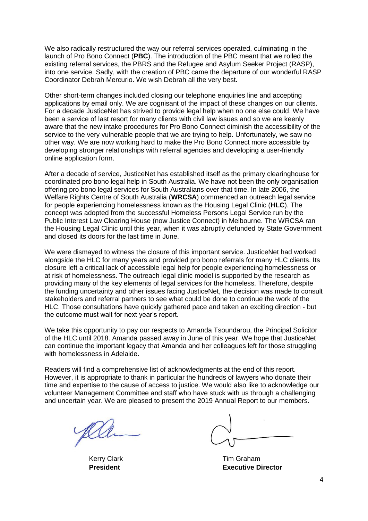We also radically restructured the way our referral services operated, culminating in the launch of Pro Bono Connect (**PBC**). The introduction of the PBC meant that we rolled the existing referral services, the PBRS and the Refugee and Asylum Seeker Project (RASP), into one service. Sadly, with the creation of PBC came the departure of our wonderful RASP Coordinator Debrah Mercurio. We wish Debrah all the very best.

Other short-term changes included closing our telephone enquiries line and accepting applications by email only. We are cognisant of the impact of these changes on our clients. For a decade JusticeNet has strived to provide legal help when no one else could. We have been a service of last resort for many clients with civil law issues and so we are keenly aware that the new intake procedures for Pro Bono Connect diminish the accessibility of the service to the very vulnerable people that we are trying to help. Unfortunately, we saw no other way. We are now working hard to make the Pro Bono Connect more accessible by developing stronger relationships with referral agencies and developing a user-friendly online application form.

After a decade of service, JusticeNet has established itself as the primary clearinghouse for coordinated pro bono legal help in South Australia. We have not been the only organisation offering pro bono legal services for South Australians over that time. In late 2006, the Welfare Rights Centre of South Australia (**WRCSA**) commenced an outreach legal service for people experiencing homelessness known as the Housing Legal Clinic (**HLC**). The concept was adopted from the successful Homeless Persons Legal Service run by the Public Interest Law Clearing House (now Justice Connect) in Melbourne. The WRCSA ran the Housing Legal Clinic until this year, when it was abruptly defunded by State Government and closed its doors for the last time in June.

We were dismayed to witness the closure of this important service. JusticeNet had worked alongside the HLC for many years and provided pro bono referrals for many HLC clients. Its closure left a critical lack of accessible legal help for people experiencing homelessness or at risk of homelessness. The outreach legal clinic model is supported by the research as providing many of the key elements of legal services for the homeless. Therefore, despite the funding uncertainty and other issues facing JusticeNet, the decision was made to consult stakeholders and referral partners to see what could be done to continue the work of the HLC. Those consultations have quickly gathered pace and taken an exciting direction - but the outcome must wait for next year's report.

We take this opportunity to pay our respects to Amanda Tsoundarou, the Principal Solicitor of the HLC until 2018. Amanda passed away in June of this year. We hope that JusticeNet can continue the important legacy that Amanda and her colleagues left for those struggling with homelessness in Adelaide.

Readers will find a comprehensive list of acknowledgments at the end of this report. However, it is appropriate to thank in particular the hundreds of lawyers who donate their time and expertise to the cause of access to justice. We would also like to acknowledge our volunteer Management Committee and staff who have stuck with us through a challenging and uncertain year. We are pleased to present the 2019 Annual Report to our members.

Kerry Clark Tim Graham **President Executive Director**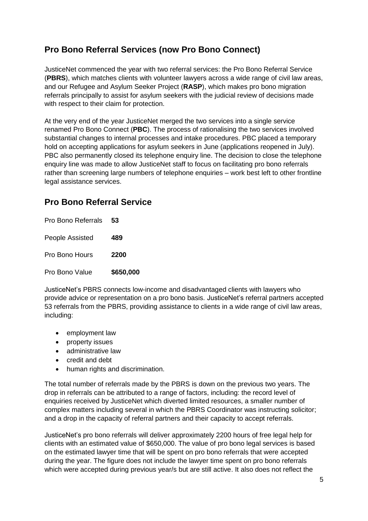## **Pro Bono Referral Services (now Pro Bono Connect)**

JusticeNet commenced the year with two referral services: the Pro Bono Referral Service (**PBRS**), which matches clients with volunteer lawyers across a wide range of civil law areas, and our Refugee and Asylum Seeker Project (**RASP**), which makes pro bono migration referrals principally to assist for asylum seekers with the judicial review of decisions made with respect to their claim for protection.

At the very end of the year JusticeNet merged the two services into a single service renamed Pro Bono Connect (**PBC**). The process of rationalising the two services involved substantial changes to internal processes and intake procedures. PBC placed a temporary hold on accepting applications for asylum seekers in June (applications reopened in July). PBC also permanently closed its telephone enquiry line. The decision to close the telephone enquiry line was made to allow JusticeNet staff to focus on facilitating pro bono referrals rather than screening large numbers of telephone enquiries – work best left to other frontline legal assistance services.

## **Pro Bono Referral Service**

Pro Bono Referrals **53** People Assisted **489** Pro Bono Hours **2200** Pro Bono Value **\$650,000**

JusticeNet's PBRS connects low-income and disadvantaged clients with lawyers who provide advice or representation on a pro bono basis. JusticeNet's referral partners accepted 53 referrals from the PBRS, providing assistance to clients in a wide range of civil law areas, including:

- employment law
- property issues
- administrative law
- credit and debt
- human rights and discrimination.

The total number of referrals made by the PBRS is down on the previous two years. The drop in referrals can be attributed to a range of factors, including: the record level of enquiries received by JusticeNet which diverted limited resources, a smaller number of complex matters including several in which the PBRS Coordinator was instructing solicitor; and a drop in the capacity of referral partners and their capacity to accept referrals.

JusticeNet's pro bono referrals will deliver approximately 2200 hours of free legal help for clients with an estimated value of \$650,000. The value of pro bono legal services is based on the estimated lawyer time that will be spent on pro bono referrals that were accepted during the year. The figure does not include the lawyer time spent on pro bono referrals which were accepted during previous year/s but are still active. It also does not reflect the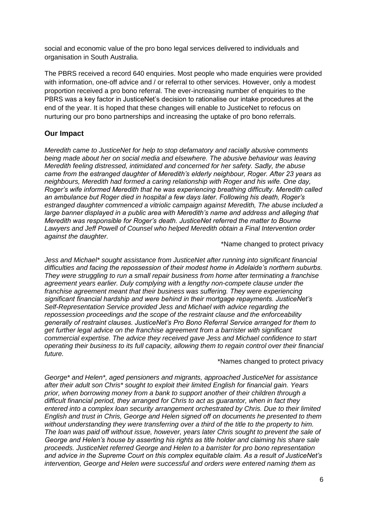social and economic value of the pro bono legal services delivered to individuals and organisation in South Australia.

The PBRS received a record 640 enquiries. Most people who made enquiries were provided with information, one-off advice and / or referral to other services. However, only a modest proportion received a pro bono referral. The ever-increasing number of enquiries to the PBRS was a key factor in JusticeNet's decision to rationalise our intake procedures at the end of the year. It is hoped that these changes will enable to JusticeNet to refocus on nurturing our pro bono partnerships and increasing the uptake of pro bono referrals.

### **Our Impact**

*Meredith came to JusticeNet for help to stop defamatory and racially abusive comments being made about her on social media and elsewhere. The abusive behaviour was leaving Meredith feeling distressed, intimidated and concerned for her safety. Sadly, the abuse came from the estranged daughter of Meredith's elderly neighbour, Roger. After 23 years as neighbours, Meredith had formed a caring relationship with Roger and his wife. One day, Roger's wife informed Meredith that he was experiencing breathing difficulty. Meredith called an ambulance but Roger died in hospital a few days later. Following his death, Roger's estranged daughter commenced a vitriolic campaign against Meredith, The abuse included a large banner displayed in a public area with Meredith's name and address and alleging that Meredith was responsible for Roger's death. JusticeNet referred the matter to Bourne Lawyers and Jeff Powell of Counsel who helped Meredith obtain a Final Intervention order against the daughter.*

#### \*Name changed to protect privacy

*Jess and Michael\* sought assistance from JusticeNet after running into significant financial difficulties and facing the repossession of their modest home in Adelaide's northern suburbs. They were struggling to run a small repair business from home after terminating a franchise agreement years earlier. Duly complying with a lengthy non-compete clause under the franchise agreement meant that their business was suffering. They were experiencing significant financial hardship and were behind in their mortgage repayments. JusticeNet's Self-Representation Service provided Jess and Michael with advice regarding the repossession proceedings and the scope of the restraint clause and the enforceability generally of restraint clauses. JusticeNet's Pro Bono Referral Service arranged for them to get further legal advice on the franchise agreement from a barrister with significant commercial expertise. The advice they received gave Jess and Michael confidence to start operating their business to its full capacity, allowing them to regain control over their financial future.*

#### \*Names changed to protect privacy

*George\* and Helen\*, aged pensioners and migrants, approached JusticeNet for assistance after their adult son Chris\* sought to exploit their limited English for financial gain. Years prior, when borrowing money from a bank to support another of their children through a difficult financial period, they arranged for Chris to act as guarantor, when in fact they entered into a complex loan security arrangement orchestrated by Chris. Due to their limited English and trust in Chris, George and Helen signed off on documents he presented to them without understanding they were transferring over a third of the title to the property to him. The loan was paid off without issue, however, years later Chris sought to prevent the sale of George and Helen's house by asserting his rights as title holder and claiming his share sale proceeds. JusticeNet referred George and Helen to a barrister for pro bono representation and advice in the Supreme Court on this complex equitable claim. As a result of JusticeNet's intervention, George and Helen were successful and orders were entered naming them as*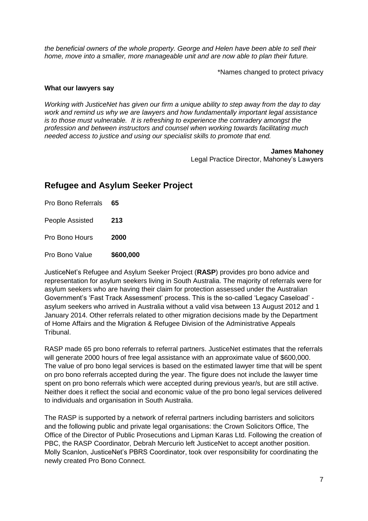*the beneficial owners of the whole property. George and Helen have been able to sell their home, move into a smaller, more manageable unit and are now able to plan their future.*

\*Names changed to protect privacy

#### **What our lawyers say**

*Working with JusticeNet has given our firm a unique ability to step away from the day to day work and remind us why we are lawyers and how fundamentally important legal assistance is to those must vulnerable. It is refreshing to experience the comradery amongst the profession and between instructors and counsel when working towards facilitating much needed access to justice and using our specialist skills to promote that end.*

> **James Mahoney** Legal Practice Director, Mahoney's Lawyers

## **Refugee and Asylum Seeker Project**

Pro Bono Referrals **65** People Assisted **213**

Pro Bono Hours **2000**

Pro Bono Value **\$600,000**

JusticeNet's Refugee and Asylum Seeker Project (**RASP**) provides pro bono advice and representation for asylum seekers living in South Australia. The majority of referrals were for asylum seekers who are having their claim for protection assessed under the Australian Government's 'Fast Track Assessment' process. This is the so-called 'Legacy Caseload' asylum seekers who arrived in Australia without a valid visa between 13 August 2012 and 1 January 2014. Other referrals related to other migration decisions made by the Department of Home Affairs and the Migration & Refugee Division of the Administrative Appeals Tribunal.

RASP made 65 pro bono referrals to referral partners. JusticeNet estimates that the referrals will generate 2000 hours of free legal assistance with an approximate value of \$600,000. The value of pro bono legal services is based on the estimated lawyer time that will be spent on pro bono referrals accepted during the year. The figure does not include the lawyer time spent on pro bono referrals which were accepted during previous year/s, but are still active. Neither does it reflect the social and economic value of the pro bono legal services delivered to individuals and organisation in South Australia.

The RASP is supported by a network of referral partners including barristers and solicitors and the following public and private legal organisations: the Crown Solicitors Office, The Office of the Director of Public Prosecutions and Lipman Karas Ltd. Following the creation of PBC, the RASP Coordinator, Debrah Mercurio left JusticeNet to accept another position. Molly Scanlon, JusticeNet's PBRS Coordinator, took over responsibility for coordinating the newly created Pro Bono Connect.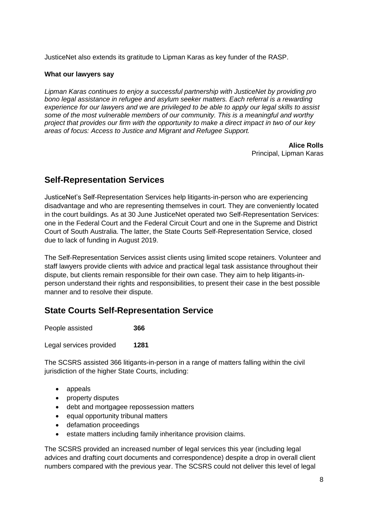JusticeNet also extends its gratitude to Lipman Karas as key funder of the RASP.

#### **What our lawyers say**

*Lipman Karas continues to enjoy a successful partnership with JusticeNet by providing pro bono legal assistance in refugee and asylum seeker matters. Each referral is a rewarding experience for our lawyers and we are privileged to be able to apply our legal skills to assist some of the most vulnerable members of our community. This is a meaningful and worthy project that provides our firm with the opportunity to make a direct impact in two of our key areas of focus: Access to Justice and Migrant and Refugee Support.* 

> **Alice Rolls** Principal, Lipman Karas

## **Self-Representation Services**

JusticeNet's Self-Representation Services help litigants-in-person who are experiencing disadvantage and who are representing themselves in court. They are conveniently located in the court buildings. As at 30 June JusticeNet operated two Self-Representation Services: one in the Federal Court and the Federal Circuit Court and one in the Supreme and District Court of South Australia. The latter, the State Courts Self-Representation Service, closed due to lack of funding in August 2019.

The Self-Representation Services assist clients using limited scope retainers. Volunteer and staff lawyers provide clients with advice and practical legal task assistance throughout their dispute, but clients remain responsible for their own case. They aim to help litigants-inperson understand their rights and responsibilities, to present their case in the best possible manner and to resolve their dispute.

## **State Courts Self-Representation Service**

| People assisted         | 366  |
|-------------------------|------|
| Legal services provided | 1281 |

The SCSRS assisted 366 litigants-in-person in a range of matters falling within the civil jurisdiction of the higher State Courts, including:

- appeals
- property disputes
- debt and mortgagee repossession matters
- equal opportunity tribunal matters
- defamation proceedings
- estate matters including family inheritance provision claims.

The SCSRS provided an increased number of legal services this year (including legal advices and drafting court documents and correspondence) despite a drop in overall client numbers compared with the previous year. The SCSRS could not deliver this level of legal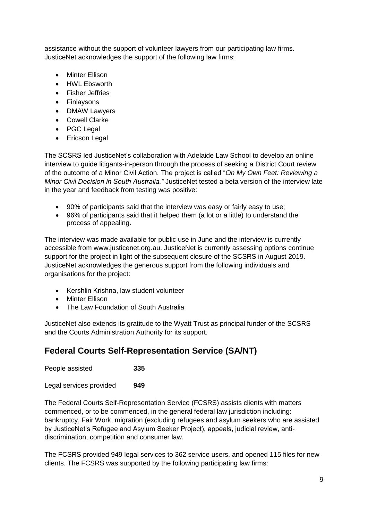assistance without the support of volunteer lawyers from our participating law firms. JusticeNet acknowledges the support of the following law firms:

- Minter Ellison
- HWL Ebsworth
- Fisher Jeffries
- Finlaysons
- DMAW Lawyers
- Cowell Clarke
- PGC Legal
- Ericson Legal

The SCSRS led JusticeNet's collaboration with Adelaide Law School to develop an online interview to guide litigants-in-person through the process of seeking a District Court review of the outcome of a Minor Civil Action. The project is called "*On My Own Feet: Reviewing a Minor Civil Decision in South Australia."* JusticeNet tested a beta version of the interview late in the year and feedback from testing was positive:

- 90% of participants said that the interview was easy or fairly easy to use;
- 96% of participants said that it helped them (a lot or a little) to understand the process of appealing.

The interview was made available for public use in June and the interview is currently accessible from [www.justicenet.org.au.](http://www.justicenet.org.au/) JusticeNet is currently assessing options continue support for the project in light of the subsequent closure of the SCSRS in August 2019. JusticeNet acknowledges the generous support from the following individuals and organisations for the project:

- Kershlin Krishna, law student volunteer
- Minter Ellison
- The Law Foundation of South Australia

JusticeNet also extends its gratitude to the Wyatt Trust as principal funder of the SCSRS and the Courts Administration Authority for its support.

## **Federal Courts Self-Representation Service (SA/NT)**

People assisted **335** Legal services provided **949**

The Federal Courts Self-Representation Service (FCSRS) assists clients with matters commenced, or to be commenced, in the general federal law jurisdiction including: bankruptcy, Fair Work, migration (excluding refugees and asylum seekers who are assisted by JusticeNet's Refugee and Asylum Seeker Project), appeals, judicial review, antidiscrimination, competition and consumer law.

The FCSRS provided 949 legal services to 362 service users, and opened 115 files for new clients. The FCSRS was supported by the following participating law firms: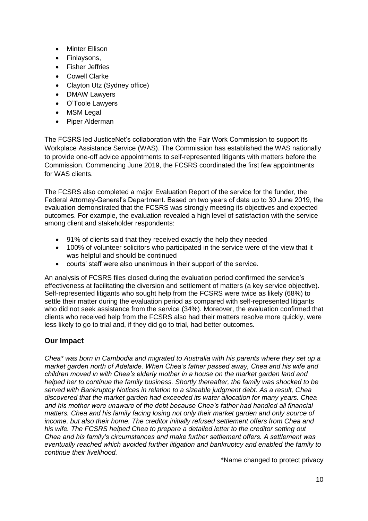- Minter Ellison
- Finlaysons,
- **•** Fisher Jeffries
- Cowell Clarke
- Clayton Utz (Sydney office)
- DMAW Lawyers
- O'Toole Lawyers
- MSM Legal
- Piper Alderman

The FCSRS led JusticeNet's collaboration with the Fair Work Commission to support its Workplace Assistance Service (WAS). The Commission has established the WAS nationally to provide one-off advice appointments to self-represented litigants with matters before the Commission. Commencing June 2019, the FCSRS coordinated the first few appointments for WAS clients.

The FCSRS also completed a major Evaluation Report of the service for the funder, the Federal Attorney-General's Department. Based on two years of data up to 30 June 2019, the evaluation demonstrated that the FCSRS was strongly meeting its objectives and expected outcomes. For example, the evaluation revealed a high level of satisfaction with the service among client and stakeholder respondents:

- 91% of clients said that they received exactly the help they needed
- 100% of volunteer solicitors who participated in the service were of the view that it was helpful and should be continued
- courts' staff were also unanimous in their support of the service.

An analysis of FCSRS files closed during the evaluation period confirmed the service's effectiveness at facilitating the diversion and settlement of matters (a key service objective). Self-represented litigants who sought help from the FCSRS were twice as likely (68%) to settle their matter during the evaluation period as compared with self-represented litigants who did not seek assistance from the service (34%). Moreover, the evaluation confirmed that clients who received help from the FCSRS also had their matters resolve more quickly, were less likely to go to trial and, if they did go to trial, had better outcomes.

### **Our Impact**

*Chea\* was born in Cambodia and migrated to Australia with his parents where they set up a market garden north of Adelaide. When Chea's father passed away, Chea and his wife and children moved in with Chea's elderly mother in a house on the market garden land and helped her to continue the family business. Shortly thereafter, the family was shocked to be served with Bankruptcy Notices in relation to a sizeable judgment debt. As a result, Chea discovered that the market garden had exceeded its water allocation for many years. Chea and his mother were unaware of the debt because Chea's father had handled all financial matters. Chea and his family facing losing not only their market garden and only source of income, but also their home. The creditor initially refused settlement offers from Chea and his wife. The FCSRS helped Chea to prepare a detailed letter to the creditor setting out Chea and his family's circumstances and make further settlement offers. A settlement was eventually reached which avoided further litigation and bankruptcy and enabled the family to continue their livelihood.*

\*Name changed to protect privacy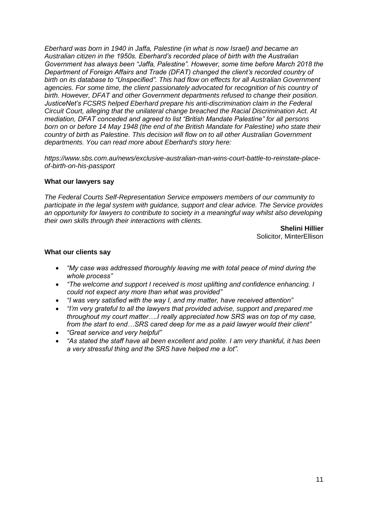*Eberhard was born in 1940 in Jaffa, Palestine (in what is now Israel) and became an Australian citizen in the 1950s. Eberhard's recorded place of birth with the Australian Government has always been "Jaffa, Palestine". However, some time before March 2018 the Department of Foreign Affairs and Trade (DFAT) changed the client's recorded country of birth on its database to "Unspecified". This had flow on effects for all Australian Government agencies. For some time, the client passionately advocated for recognition of his country of birth. However, DFAT and other Government departments refused to change their position. JusticeNet's FCSRS helped Eberhard prepare his anti-discrimination claim in the Federal Circuit Court, alleging that the unilateral change breached the Racial Discrimination Act. At mediation, DFAT conceded and agreed to list "British Mandate Palestine" for all persons born on or before 14 May 1948 (the end of the British Mandate for Palestine) who state their country of birth as Palestine. This decision will flow on to all other Australian Government departments. You can read more about Eberhard's story here:*

*[https://www.sbs.com.au/news/exclusive-australian-man-wins-court-battle-to-reinstate-place](https://justicenet.us6.list-manage.com/track/click?u=f74bc63524f0334f314c10fde&id=0c7ef75c4c&e=160c21342b)[of-birth-on-his-passport](https://justicenet.us6.list-manage.com/track/click?u=f74bc63524f0334f314c10fde&id=0c7ef75c4c&e=160c21342b)*

#### **What our lawyers say**

*The Federal Courts Self-Representation Service empowers members of our community to participate in the legal system with guidance, support and clear advice. The Service provides an opportunity for lawyers to contribute to society in a meaningful way whilst also developing their own skills through their interactions with clients.* 

> **Shelini Hillier**  Solicitor, MinterEllison

#### **What our clients say**

- *"My case was addressed thoroughly leaving me with total peace of mind during the whole process"*
- *"The welcome and support I received is most uplifting and confidence enhancing. I could not expect any more than what was provided"*
- *"I was very satisfied with the way I, and my matter, have received attention"*
- *"I'm very grateful to all the lawyers that provided advise, support and prepared me throughout my court matter….I really appreciated how SRS was on top of my case, from the start to end…SRS cared deep for me as a paid lawyer would their client"*
- *"Great service and very helpful"*
- *"As stated the staff have all been excellent and polite. I am very thankful, it has been a very stressful thing and the SRS have helped me a lot".*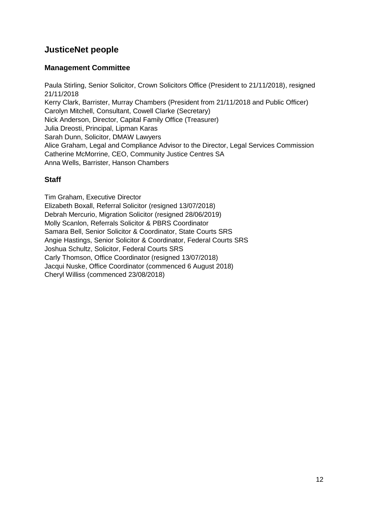## **JusticeNet people**

### **Management Committee**

Paula Stirling, Senior Solicitor, Crown Solicitors Office (President to 21/11/2018), resigned 21/11/2018 Kerry Clark, Barrister, Murray Chambers (President from 21/11/2018 and Public Officer) Carolyn Mitchell, Consultant, Cowell Clarke (Secretary) Nick Anderson, Director, Capital Family Office (Treasurer) Julia Dreosti, Principal, Lipman Karas Sarah Dunn, Solicitor, DMAW Lawyers Alice Graham, Legal and Compliance Advisor to the Director, Legal Services Commission Catherine McMorrine, CEO, Community Justice Centres SA Anna Wells, Barrister, Hanson Chambers

### **Staff**

Tim Graham, Executive Director Elizabeth Boxall, Referral Solicitor (resigned 13/07/2018) Debrah Mercurio, Migration Solicitor (resigned 28/06/2019) Molly Scanlon, Referrals Solicitor & PBRS Coordinator Samara Bell, Senior Solicitor & Coordinator, State Courts SRS Angie Hastings, Senior Solicitor & Coordinator, Federal Courts SRS Joshua Schultz, Solicitor, Federal Courts SRS Carly Thomson, Office Coordinator (resigned 13/07/2018) Jacqui Nuske, Office Coordinator (commenced 6 August 2018) Cheryl Williss (commenced 23/08/2018)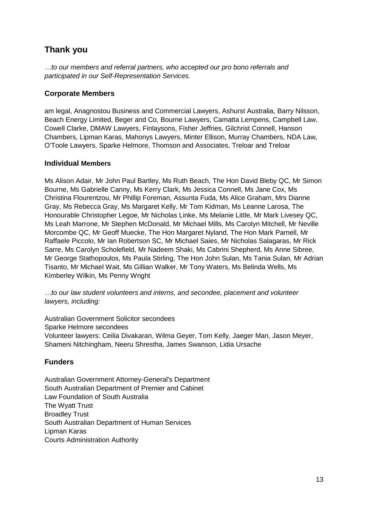## **Thank you**

*…to our members and referral partners, who accepted our pro bono referrals and participated in our Self-Representation Services.*

### **Corporate Members**

am legal, Anagnostou Business and Commercial Lawyers, Ashurst Australia, Barry Nilsson, Beach Energy Limited, Beger and Co, Bourne Lawyers, Camatta Lempens, Campbell Law, Cowell Clarke, DMAW Lawyers, Finlaysons, Fisher Jeffries, Gilchrist Connell, Hanson Chambers, Lipman Karas, Mahonys Lawyers, Minter Ellison, Murray Chambers, NDA Law, O'Toole Lawyers, Sparke Helmore, Thomson and Associates, Treloar and Treloar

### **Individual Members**

Ms Alison Adair, Mr John Paul Bartley, Ms Ruth Beach, The Hon David Bleby QC, Mr Simon Bourne, Ms Gabrielle Canny, Ms Kerry Clark, Ms Jessica Connell, Ms Jane Cox, Ms Christina Flourentzou, Mr Phillip Foreman, Assunta Fuda, Ms Alice Graham, Mrs Dianne Gray, Ms Rebecca Gray, Ms Margaret Kelly, Mr Tom Kidman, Ms Leanne Larosa, The Honourable Christopher Legoe, Mr Nicholas Linke, Ms Melanie Little, Mr Mark Livesey QC, Ms Leah Marrone, Mr Stephen McDonald, Mr Michael Mills, Ms Carolyn Mitchell, Mr Neville Morcombe QC, Mr Geoff Muecke, The Hon Margaret Nyland, The Hon Mark Parnell, Mr Raffaele Piccolo, Mr Ian Robertson SC, Mr Michael Saies, Mr Nicholas Salagaras, Mr Rick Sarre, Ms Carolyn Scholefield, Mr Nadeem Shaki, Ms Cabrini Shepherd, Ms Anne Sibree, Mr George Stathopoulos, Ms Paula Stirling, The Hon John Sulan, Ms Tania Sulan, Mr Adrian Tisanto, Mr Michael Wait, Ms Gillian Walker, Mr Tony Waters, Ms Belinda Wells, Ms Kimberley Wilkin, Ms Penny Wright

*…to our law student volunteers and interns, and secondee, placement and volunteer lawyers, including:*

Australian Government Solicitor secondees Sparke Helmore secondees Volunteer lawyers: Ceilia Divakaran, Wilma Geyer, Tom Kelly, Jaeger Man, Jason Meyer, Shameni Nitchingham, Neeru Shrestha, James Swanson, Lidia Ursache

## **Funders**

Australian Government Attorney-General's Department South Australian Department of Premier and Cabinet Law Foundation of South Australia The Wyatt Trust Broadley Trust South Australian Department of Human Services Lipman Karas Courts Administration Authority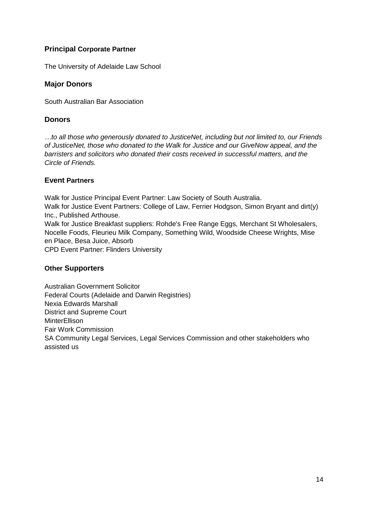### **Principal Corporate Partner**

The University of Adelaide Law School

### **Major Donors**

South Australian Bar Association

### **Donors**

*…to all those who generously donated to JusticeNet, including but not limited to, our Friends of JusticeNet, those who donated to the Walk for Justice and our GiveNow appeal, and the barristers and solicitors who donated their costs received in successful matters, and the Circle of Friends.*

### **Event Partners**

Walk for Justice Principal Event Partner: Law Society of South Australia. Walk for Justice Event Partners: College of Law, Ferrier Hodgson, Simon Bryant and dirt(y) Inc., Published Arthouse. Walk for Justice Breakfast suppliers: Rohde's Free Range Eggs, Merchant St Wholesalers, Nocelle Foods, Fleurieu Milk Company, Something Wild, Woodside Cheese Wrights, Mise en Place, Besa Juice, Absorb CPD Event Partner: Flinders University

### **Other Supporters**

Australian Government Solicitor Federal Courts (Adelaide and Darwin Registries) Nexia Edwards Marshall District and Supreme Court **MinterEllison** Fair Work Commission SA Community Legal Services, Legal Services Commission and other stakeholders who assisted us